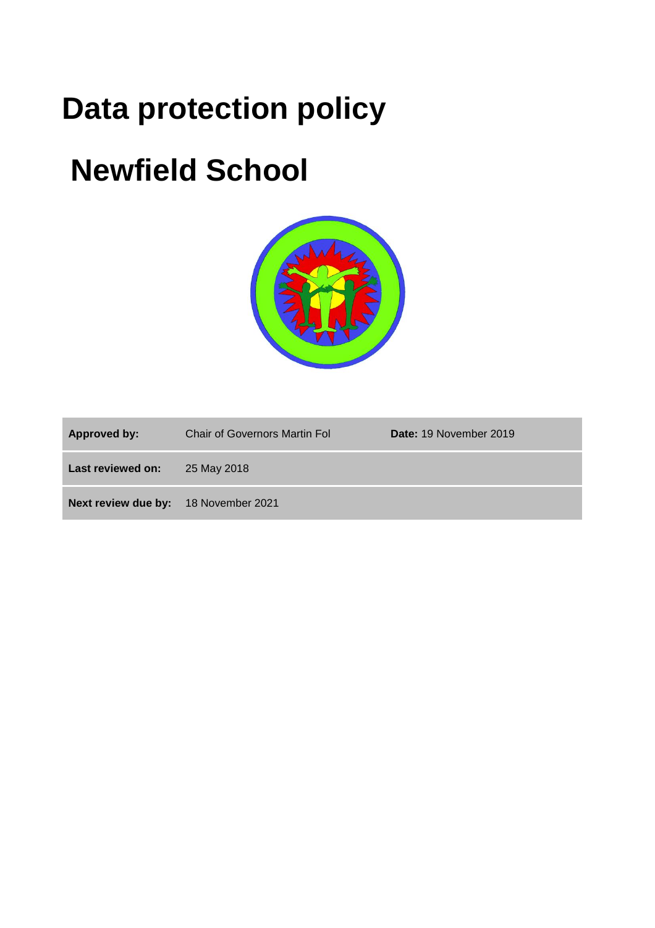# **Data protection policy**

# **Newfield School**



| Approved by:                         | <b>Chair of Governors Martin Fol</b> | Date: 19 November 2019 |
|--------------------------------------|--------------------------------------|------------------------|
| Last reviewed on:                    | 25 May 2018                          |                        |
| Next review due by: 18 November 2021 |                                      |                        |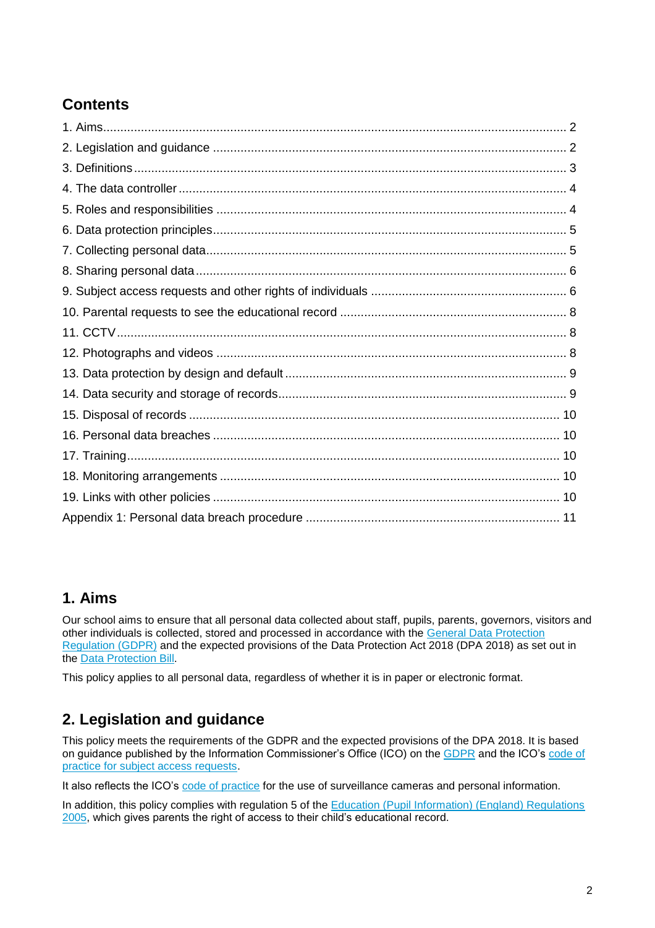# **Contents**

## **1. Aims**

Our school aims to ensure that all personal data collected about staff, pupils, parents, governors, visitors and other individuals is collected, stored and processed in accordance with the [General Data Protection](http://data.consilium.europa.eu/doc/document/ST-5419-2016-INIT/en/pdf)  [Regulation \(GDPR\)](http://data.consilium.europa.eu/doc/document/ST-5419-2016-INIT/en/pdf) and the expected provisions of the Data Protection Act 2018 (DPA 2018) as set out in the [Data Protection Bill.](https://publications.parliament.uk/pa/bills/cbill/2017-2019/0153/18153.pdf)

This policy applies to all personal data, regardless of whether it is in paper or electronic format.

# **2. Legislation and guidance**

This policy meets the requirements of the GDPR and the expected provisions of the DPA 2018. It is based on guidance published by the Information Commissioner's Office (ICO) on the [GDPR](https://ico.org.uk/for-organisations/guide-to-the-general-data-protection-regulation-gdpr/) and the ICO's [code of](https://ico.org.uk/media/for-organisations/documents/2014223/subject-access-code-of-practice.pdf)  [practice for subject access requests.](https://ico.org.uk/media/for-organisations/documents/2014223/subject-access-code-of-practice.pdf)

It also reflects the ICO's [code of practice](https://ico.org.uk/media/for-organisations/documents/1542/cctv-code-of-practice.pdf) for the use of surveillance cameras and personal information.

In addition, this policy complies with regulation 5 of the [Education \(Pupil Information\) \(England\) Regulations](http://www.legislation.gov.uk/uksi/2005/1437/regulation/5/made)  [2005,](http://www.legislation.gov.uk/uksi/2005/1437/regulation/5/made) which gives parents the right of access to their child's educational record.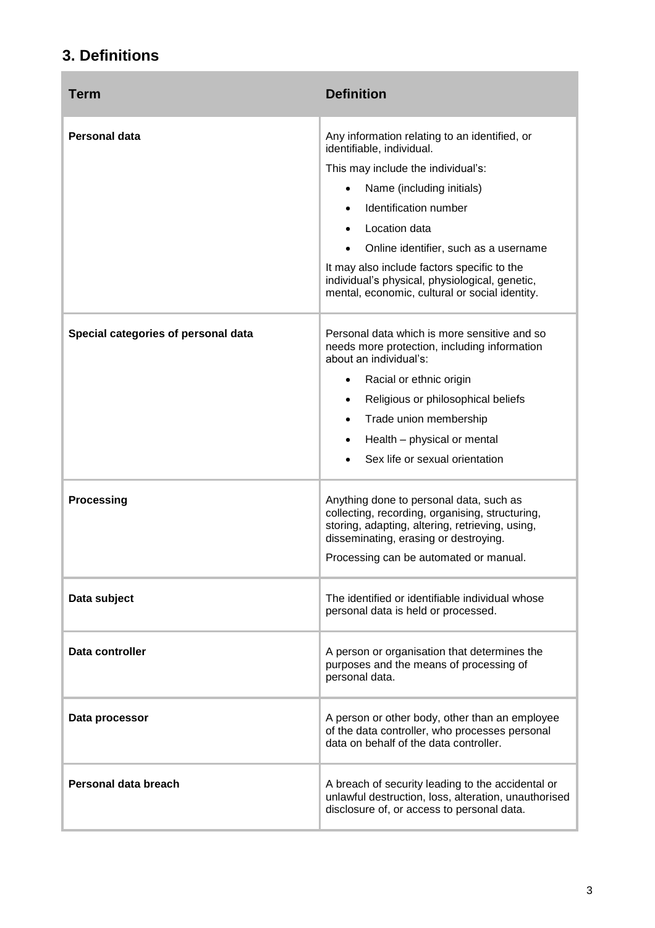# **3. Definitions**

÷

| Term                                | <b>Definition</b>                                                                                                                                                                                                                                                                                                                                                                                             |
|-------------------------------------|---------------------------------------------------------------------------------------------------------------------------------------------------------------------------------------------------------------------------------------------------------------------------------------------------------------------------------------------------------------------------------------------------------------|
| Personal data                       | Any information relating to an identified, or<br>identifiable, individual.<br>This may include the individual's:<br>Name (including initials)<br>$\bullet$<br>Identification number<br>$\bullet$<br>Location data<br>Online identifier, such as a username<br>It may also include factors specific to the<br>individual's physical, physiological, genetic,<br>mental, economic, cultural or social identity. |
| Special categories of personal data | Personal data which is more sensitive and so<br>needs more protection, including information<br>about an individual's:<br>Racial or ethnic origin<br>$\bullet$<br>Religious or philosophical beliefs<br>$\bullet$<br>Trade union membership<br>$\bullet$<br>Health - physical or mental<br>$\bullet$<br>Sex life or sexual orientation                                                                        |
| Processing                          | Anything done to personal data, such as<br>collecting, recording, organising, structuring,<br>storing, adapting, altering, retrieving, using,<br>disseminating, erasing or destroying.<br>Processing can be automated or manual.                                                                                                                                                                              |
| Data subject                        | The identified or identifiable individual whose<br>personal data is held or processed.                                                                                                                                                                                                                                                                                                                        |
| Data controller                     | A person or organisation that determines the<br>purposes and the means of processing of<br>personal data.                                                                                                                                                                                                                                                                                                     |
| Data processor                      | A person or other body, other than an employee<br>of the data controller, who processes personal<br>data on behalf of the data controller.                                                                                                                                                                                                                                                                    |
| Personal data breach                | A breach of security leading to the accidental or<br>unlawful destruction, loss, alteration, unauthorised<br>disclosure of, or access to personal data.                                                                                                                                                                                                                                                       |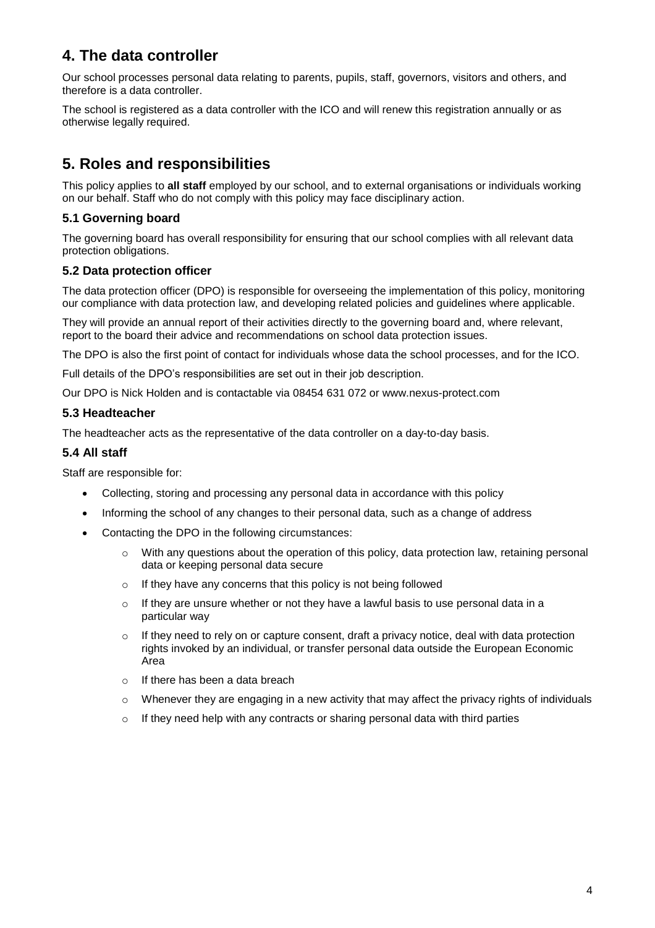# **4. The data controller**

Our school processes personal data relating to parents, pupils, staff, governors, visitors and others, and therefore is a data controller.

The school is registered as a data controller with the ICO and will renew this registration annually or as otherwise legally required.

# **5. Roles and responsibilities**

This policy applies to **all staff** employed by our school, and to external organisations or individuals working on our behalf. Staff who do not comply with this policy may face disciplinary action.

#### **5.1 Governing board**

The governing board has overall responsibility for ensuring that our school complies with all relevant data protection obligations.

#### **5.2 Data protection officer**

The data protection officer (DPO) is responsible for overseeing the implementation of this policy, monitoring our compliance with data protection law, and developing related policies and guidelines where applicable.

They will provide an annual report of their activities directly to the governing board and, where relevant, report to the board their advice and recommendations on school data protection issues.

The DPO is also the first point of contact for individuals whose data the school processes, and for the ICO.

Full details of the DPO's responsibilities are set out in their job description.

Our DPO is Nick Holden and is contactable via 08454 631 072 or www.nexus-protect.com

#### **5.3 Headteacher**

The headteacher acts as the representative of the data controller on a day-to-day basis.

#### **5.4 All staff**

Staff are responsible for:

- Collecting, storing and processing any personal data in accordance with this policy
- Informing the school of any changes to their personal data, such as a change of address
- Contacting the DPO in the following circumstances:
	- $\circ$  With any questions about the operation of this policy, data protection law, retaining personal data or keeping personal data secure
	- o If they have any concerns that this policy is not being followed
	- $\circ$  If they are unsure whether or not they have a lawful basis to use personal data in a particular way
	- $\circ$  If they need to rely on or capture consent, draft a privacy notice, deal with data protection rights invoked by an individual, or transfer personal data outside the European Economic Area
	- o If there has been a data breach
	- $\circ$  Whenever they are engaging in a new activity that may affect the privacy rights of individuals
	- $\circ$  If they need help with any contracts or sharing personal data with third parties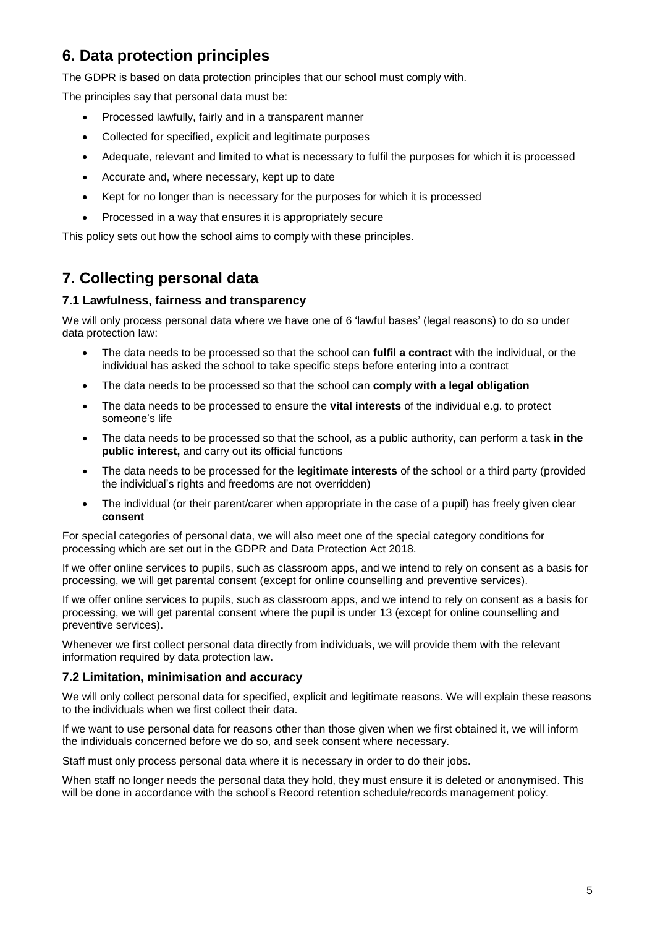# **6. Data protection principles**

The GDPR is based on data protection principles that our school must comply with.

The principles say that personal data must be:

- Processed lawfully, fairly and in a transparent manner
- Collected for specified, explicit and legitimate purposes
- Adequate, relevant and limited to what is necessary to fulfil the purposes for which it is processed
- Accurate and, where necessary, kept up to date
- Kept for no longer than is necessary for the purposes for which it is processed
- Processed in a way that ensures it is appropriately secure

This policy sets out how the school aims to comply with these principles.

# **7. Collecting personal data**

#### **7.1 Lawfulness, fairness and transparency**

We will only process personal data where we have one of 6 'lawful bases' (legal reasons) to do so under data protection law:

- The data needs to be processed so that the school can **fulfil a contract** with the individual, or the individual has asked the school to take specific steps before entering into a contract
- The data needs to be processed so that the school can **comply with a legal obligation**
- The data needs to be processed to ensure the **vital interests** of the individual e.g. to protect someone's life
- The data needs to be processed so that the school, as a public authority, can perform a task **in the public interest,** and carry out its official functions
- The data needs to be processed for the **legitimate interests** of the school or a third party (provided the individual's rights and freedoms are not overridden)
- The individual (or their parent/carer when appropriate in the case of a pupil) has freely given clear **consent**

For special categories of personal data, we will also meet one of the special category conditions for processing which are set out in the GDPR and Data Protection Act 2018.

If we offer online services to pupils, such as classroom apps, and we intend to rely on consent as a basis for processing, we will get parental consent (except for online counselling and preventive services).

If we offer online services to pupils, such as classroom apps, and we intend to rely on consent as a basis for processing, we will get parental consent where the pupil is under 13 (except for online counselling and preventive services).

Whenever we first collect personal data directly from individuals, we will provide them with the relevant information required by data protection law.

#### **7.2 Limitation, minimisation and accuracy**

We will only collect personal data for specified, explicit and legitimate reasons. We will explain these reasons to the individuals when we first collect their data.

If we want to use personal data for reasons other than those given when we first obtained it, we will inform the individuals concerned before we do so, and seek consent where necessary.

Staff must only process personal data where it is necessary in order to do their jobs.

When staff no longer needs the personal data they hold, they must ensure it is deleted or anonymised. This will be done in accordance with the school's Record retention schedule/records management policy.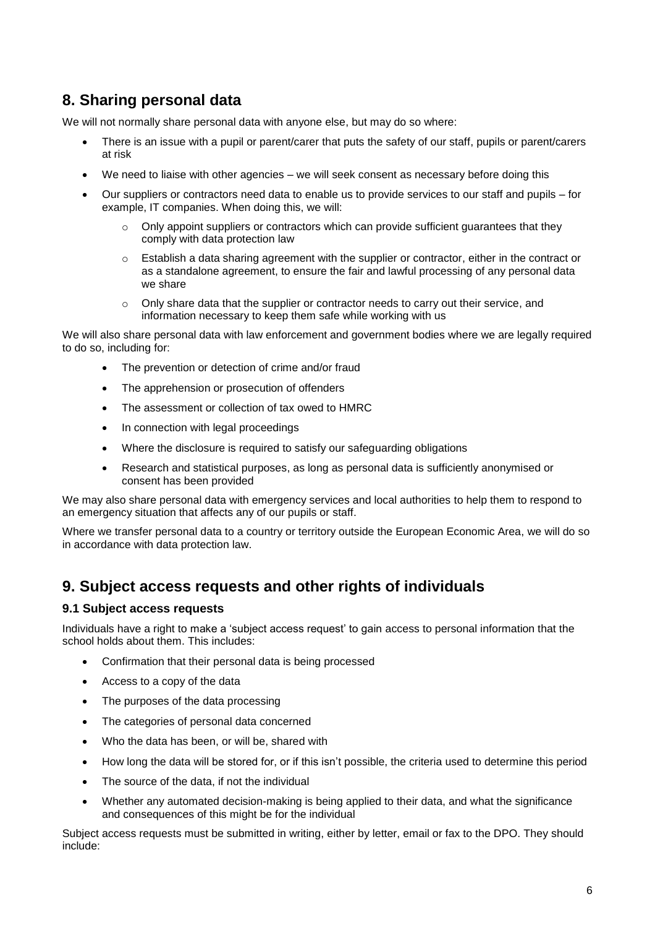# **8. Sharing personal data**

We will not normally share personal data with anyone else, but may do so where:

- There is an issue with a pupil or parent/carer that puts the safety of our staff, pupils or parent/carers at risk
- We need to liaise with other agencies we will seek consent as necessary before doing this
- Our suppliers or contractors need data to enable us to provide services to our staff and pupils for example, IT companies. When doing this, we will:
	- $\circ$  Only appoint suppliers or contractors which can provide sufficient guarantees that they comply with data protection law
	- $\circ$  Establish a data sharing agreement with the supplier or contractor, either in the contract or as a standalone agreement, to ensure the fair and lawful processing of any personal data we share
	- $\circ$  Only share data that the supplier or contractor needs to carry out their service, and information necessary to keep them safe while working with us

We will also share personal data with law enforcement and government bodies where we are legally required to do so, including for:

- The prevention or detection of crime and/or fraud
- The apprehension or prosecution of offenders
- The assessment or collection of tax owed to HMRC
- In connection with legal proceedings
- Where the disclosure is required to satisfy our safeguarding obligations
- Research and statistical purposes, as long as personal data is sufficiently anonymised or consent has been provided

We may also share personal data with emergency services and local authorities to help them to respond to an emergency situation that affects any of our pupils or staff.

Where we transfer personal data to a country or territory outside the European Economic Area, we will do so in accordance with data protection law.

### **9. Subject access requests and other rights of individuals**

#### **9.1 Subject access requests**

Individuals have a right to make a 'subject access request' to gain access to personal information that the school holds about them. This includes:

- Confirmation that their personal data is being processed
- Access to a copy of the data
- The purposes of the data processing
- The categories of personal data concerned
- Who the data has been, or will be, shared with
- How long the data will be stored for, or if this isn't possible, the criteria used to determine this period
- The source of the data, if not the individual
- Whether any automated decision-making is being applied to their data, and what the significance and consequences of this might be for the individual

Subject access requests must be submitted in writing, either by letter, email or fax to the DPO. They should include: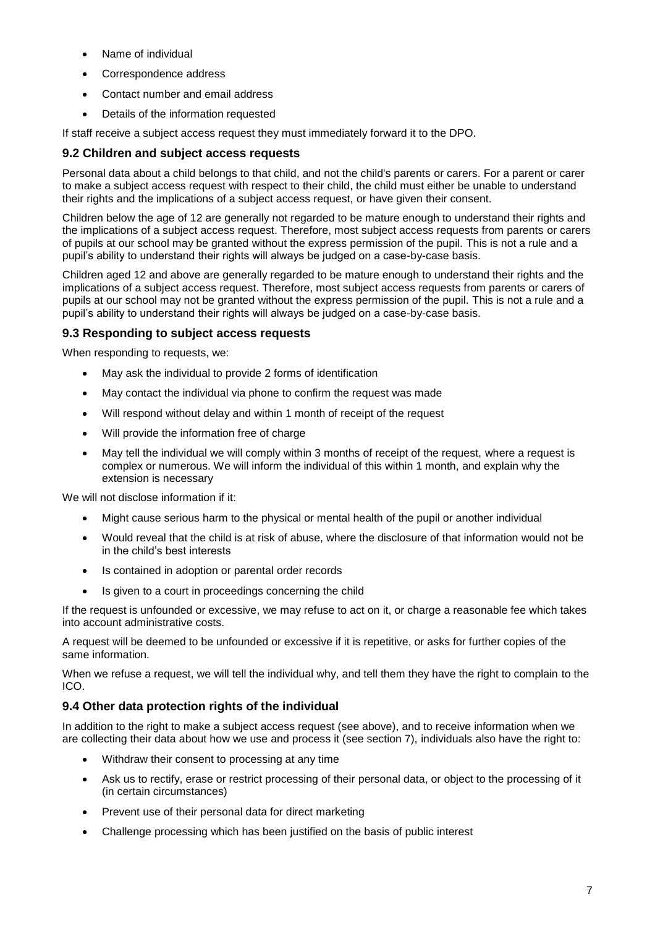- Name of individual
- Correspondence address
- Contact number and email address
- Details of the information requested

If staff receive a subject access request they must immediately forward it to the DPO.

#### **9.2 Children and subject access requests**

Personal data about a child belongs to that child, and not the child's parents or carers. For a parent or carer to make a subject access request with respect to their child, the child must either be unable to understand their rights and the implications of a subject access request, or have given their consent.

Children below the age of 12 are generally not regarded to be mature enough to understand their rights and the implications of a subject access request. Therefore, most subject access requests from parents or carers of pupils at our school may be granted without the express permission of the pupil. This is not a rule and a pupil's ability to understand their rights will always be judged on a case-by-case basis.

Children aged 12 and above are generally regarded to be mature enough to understand their rights and the implications of a subject access request. Therefore, most subject access requests from parents or carers of pupils at our school may not be granted without the express permission of the pupil. This is not a rule and a pupil's ability to understand their rights will always be judged on a case-by-case basis.

#### **9.3 Responding to subject access requests**

When responding to requests, we:

- May ask the individual to provide 2 forms of identification
- May contact the individual via phone to confirm the request was made
- Will respond without delay and within 1 month of receipt of the request
- Will provide the information free of charge
- May tell the individual we will comply within 3 months of receipt of the request, where a request is complex or numerous. We will inform the individual of this within 1 month, and explain why the extension is necessary

We will not disclose information if it:

- Might cause serious harm to the physical or mental health of the pupil or another individual
- Would reveal that the child is at risk of abuse, where the disclosure of that information would not be in the child's best interests
- Is contained in adoption or parental order records
- Is given to a court in proceedings concerning the child

If the request is unfounded or excessive, we may refuse to act on it, or charge a reasonable fee which takes into account administrative costs.

A request will be deemed to be unfounded or excessive if it is repetitive, or asks for further copies of the same information.

When we refuse a request, we will tell the individual why, and tell them they have the right to complain to the ICO.

#### **9.4 Other data protection rights of the individual**

In addition to the right to make a subject access request (see above), and to receive information when we are collecting their data about how we use and process it (see section 7), individuals also have the right to:

- Withdraw their consent to processing at any time
- Ask us to rectify, erase or restrict processing of their personal data, or object to the processing of it (in certain circumstances)
- Prevent use of their personal data for direct marketing
- Challenge processing which has been justified on the basis of public interest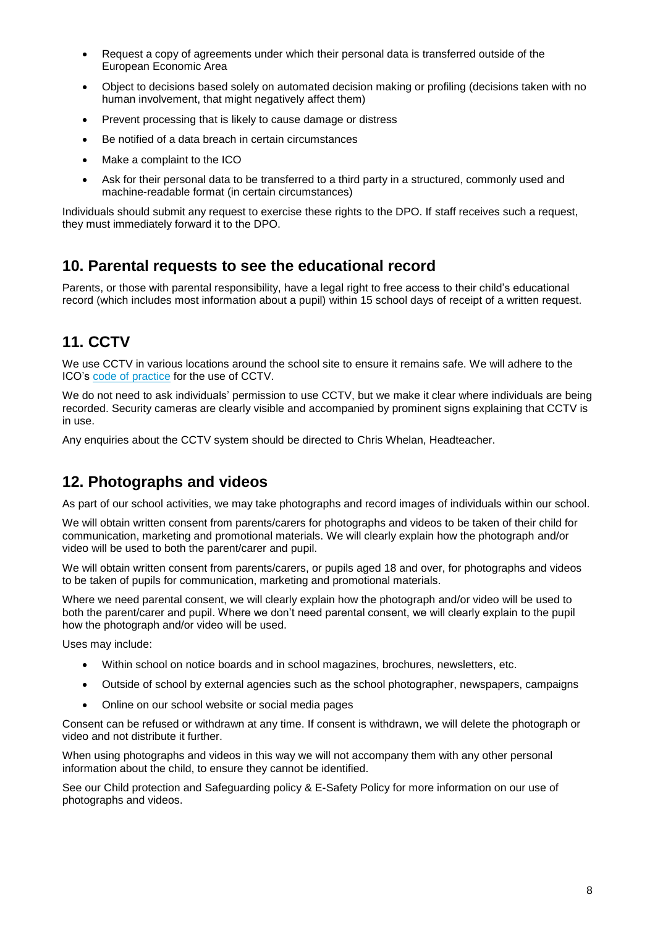- Request a copy of agreements under which their personal data is transferred outside of the European Economic Area
- Object to decisions based solely on automated decision making or profiling (decisions taken with no human involvement, that might negatively affect them)
- Prevent processing that is likely to cause damage or distress
- Be notified of a data breach in certain circumstances
- Make a complaint to the ICO
- Ask for their personal data to be transferred to a third party in a structured, commonly used and machine-readable format (in certain circumstances)

Individuals should submit any request to exercise these rights to the DPO. If staff receives such a request, they must immediately forward it to the DPO.

## **10. Parental requests to see the educational record**

Parents, or those with parental responsibility, have a legal right to free access to their child's educational record (which includes most information about a pupil) within 15 school days of receipt of a written request.

## **11. CCTV**

We use CCTV in various locations around the school site to ensure it remains safe. We will adhere to the ICO's [code of practice](https://ico.org.uk/media/for-organisations/documents/1542/cctv-code-of-practice.pdf) for the use of CCTV.

We do not need to ask individuals' permission to use CCTV, but we make it clear where individuals are being recorded. Security cameras are clearly visible and accompanied by prominent signs explaining that CCTV is in use.

Any enquiries about the CCTV system should be directed to Chris Whelan, Headteacher.

## **12. Photographs and videos**

As part of our school activities, we may take photographs and record images of individuals within our school.

We will obtain written consent from parents/carers for photographs and videos to be taken of their child for communication, marketing and promotional materials. We will clearly explain how the photograph and/or video will be used to both the parent/carer and pupil.

We will obtain written consent from parents/carers, or pupils aged 18 and over, for photographs and videos to be taken of pupils for communication, marketing and promotional materials.

Where we need parental consent, we will clearly explain how the photograph and/or video will be used to both the parent/carer and pupil. Where we don't need parental consent, we will clearly explain to the pupil how the photograph and/or video will be used.

Uses may include:

- Within school on notice boards and in school magazines, brochures, newsletters, etc.
- Outside of school by external agencies such as the school photographer, newspapers, campaigns
- Online on our school website or social media pages

Consent can be refused or withdrawn at any time. If consent is withdrawn, we will delete the photograph or video and not distribute it further.

When using photographs and videos in this way we will not accompany them with any other personal information about the child, to ensure they cannot be identified.

See our Child protection and Safeguarding policy & E-Safety Policy for more information on our use of photographs and videos.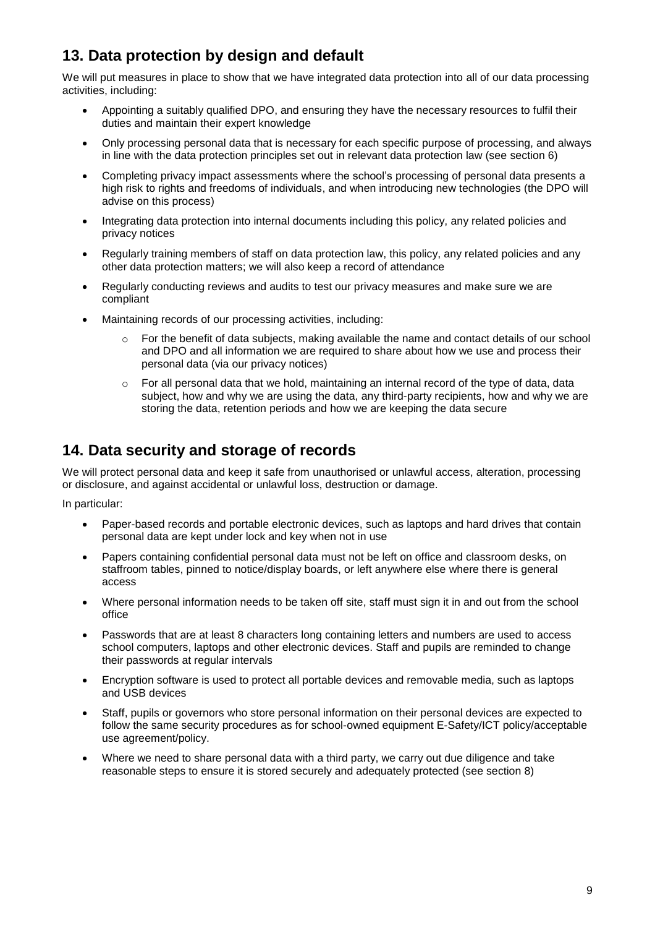# **13. Data protection by design and default**

We will put measures in place to show that we have integrated data protection into all of our data processing activities, including:

- Appointing a suitably qualified DPO, and ensuring they have the necessary resources to fulfil their duties and maintain their expert knowledge
- Only processing personal data that is necessary for each specific purpose of processing, and always in line with the data protection principles set out in relevant data protection law (see section 6)
- Completing privacy impact assessments where the school's processing of personal data presents a high risk to rights and freedoms of individuals, and when introducing new technologies (the DPO will advise on this process)
- Integrating data protection into internal documents including this policy, any related policies and privacy notices
- Regularly training members of staff on data protection law, this policy, any related policies and any other data protection matters; we will also keep a record of attendance
- Regularly conducting reviews and audits to test our privacy measures and make sure we are compliant
- Maintaining records of our processing activities, including:
	- $\circ$  For the benefit of data subjects, making available the name and contact details of our school and DPO and all information we are required to share about how we use and process their personal data (via our privacy notices)
	- $\circ$  For all personal data that we hold, maintaining an internal record of the type of data, data subject, how and why we are using the data, any third-party recipients, how and why we are storing the data, retention periods and how we are keeping the data secure

## **14. Data security and storage of records**

We will protect personal data and keep it safe from unauthorised or unlawful access, alteration, processing or disclosure, and against accidental or unlawful loss, destruction or damage.

In particular:

- Paper-based records and portable electronic devices, such as laptops and hard drives that contain personal data are kept under lock and key when not in use
- Papers containing confidential personal data must not be left on office and classroom desks, on staffroom tables, pinned to notice/display boards, or left anywhere else where there is general access
- Where personal information needs to be taken off site, staff must sign it in and out from the school office
- Passwords that are at least 8 characters long containing letters and numbers are used to access school computers, laptops and other electronic devices. Staff and pupils are reminded to change their passwords at regular intervals
- Encryption software is used to protect all portable devices and removable media, such as laptops and USB devices
- Staff, pupils or governors who store personal information on their personal devices are expected to follow the same security procedures as for school-owned equipment E-Safety/ICT policy/acceptable use agreement/policy.
- Where we need to share personal data with a third party, we carry out due diligence and take reasonable steps to ensure it is stored securely and adequately protected (see section 8)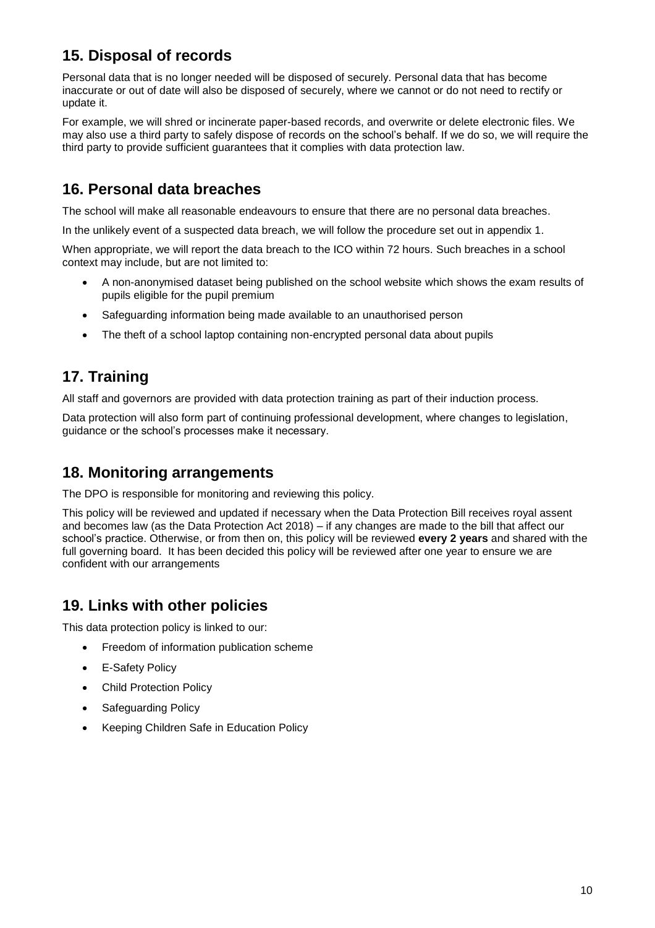# **15. Disposal of records**

Personal data that is no longer needed will be disposed of securely. Personal data that has become inaccurate or out of date will also be disposed of securely, where we cannot or do not need to rectify or update it.

For example, we will shred or incinerate paper-based records, and overwrite or delete electronic files. We may also use a third party to safely dispose of records on the school's behalf. If we do so, we will require the third party to provide sufficient guarantees that it complies with data protection law.

## **16. Personal data breaches**

The school will make all reasonable endeavours to ensure that there are no personal data breaches.

In the unlikely event of a suspected data breach, we will follow the procedure set out in appendix 1.

When appropriate, we will report the data breach to the ICO within 72 hours. Such breaches in a school context may include, but are not limited to:

- A non-anonymised dataset being published on the school website which shows the exam results of pupils eligible for the pupil premium
- Safeguarding information being made available to an unauthorised person
- The theft of a school laptop containing non-encrypted personal data about pupils

## **17. Training**

All staff and governors are provided with data protection training as part of their induction process.

Data protection will also form part of continuing professional development, where changes to legislation, guidance or the school's processes make it necessary.

### **18. Monitoring arrangements**

The DPO is responsible for monitoring and reviewing this policy.

This policy will be reviewed and updated if necessary when the Data Protection Bill receives royal assent and becomes law (as the Data Protection Act 2018) – if any changes are made to the bill that affect our school's practice. Otherwise, or from then on, this policy will be reviewed **every 2 years** and shared with the full governing board. It has been decided this policy will be reviewed after one year to ensure we are confident with our arrangements

## **19. Links with other policies**

This data protection policy is linked to our:

- Freedom of information publication scheme
- E-Safety Policy
- Child Protection Policy
- Safeguarding Policy
- Keeping Children Safe in Education Policy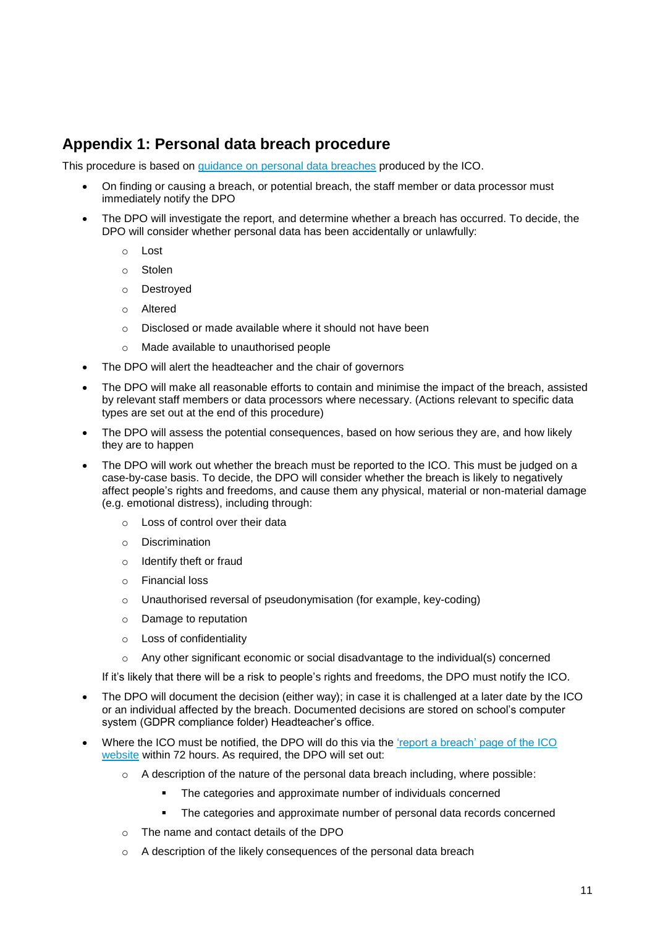## **Appendix 1: Personal data breach procedure**

This procedure is based on [guidance on personal data breaches](https://ico.org.uk/for-organisations/guide-to-the-general-data-protection-regulation-gdpr/personal-data-breaches/) produced by the ICO.

- On finding or causing a breach, or potential breach, the staff member or data processor must immediately notify the DPO
- The DPO will investigate the report, and determine whether a breach has occurred. To decide, the DPO will consider whether personal data has been accidentally or unlawfully:
	- o Lost
	- o Stolen
	- o Destroyed
	- o Altered
	- o Disclosed or made available where it should not have been
	- o Made available to unauthorised people
- The DPO will alert the headteacher and the chair of governors
- The DPO will make all reasonable efforts to contain and minimise the impact of the breach, assisted by relevant staff members or data processors where necessary. (Actions relevant to specific data types are set out at the end of this procedure)
- The DPO will assess the potential consequences, based on how serious they are, and how likely they are to happen
- The DPO will work out whether the breach must be reported to the ICO. This must be judged on a case-by-case basis. To decide, the DPO will consider whether the breach is likely to negatively affect people's rights and freedoms, and cause them any physical, material or non-material damage (e.g. emotional distress), including through:
	- o Loss of control over their data
	- o Discrimination
	- o Identify theft or fraud
	- o Financial loss
	- o Unauthorised reversal of pseudonymisation (for example, key-coding)
	- o Damage to reputation
	- o Loss of confidentiality
	- $\circ$  Any other significant economic or social disadvantage to the individual(s) concerned

If it's likely that there will be a risk to people's rights and freedoms, the DPO must notify the ICO.

- The DPO will document the decision (either way); in case it is challenged at a later date by the ICO or an individual affected by the breach. Documented decisions are stored on school's computer system (GDPR compliance folder) Headteacher's office.
- Where the ICO must be notified, the DPO will do this via the ['report a breach' page of the ICO](https://ico.org.uk/for-organisations/report-a-breach/)  [website](https://ico.org.uk/for-organisations/report-a-breach/) within 72 hours. As required, the DPO will set out:
	- $\circ$  A description of the nature of the personal data breach including, where possible:
		- The categories and approximate number of individuals concerned
		- The categories and approximate number of personal data records concerned
	- o The name and contact details of the DPO
	- o A description of the likely consequences of the personal data breach